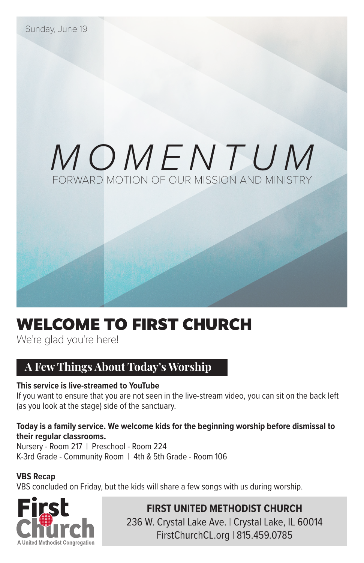# *MOMENTUM* FORWARD MOTION OF OUR MISSION AND MINISTRY

### WELCOME TO FIRST CHURCH

We're glad you're here!

#### **A Few Things About Today's Worship**

#### **This service is live-streamed to YouTube**

If you want to ensure that you are not seen in the live-stream video, you can sit on the back left (as you look at the stage) side of the sanctuary.

#### **Today is a family service. We welcome kids for the beginning worship before dismissal to their regular classrooms.**

Nursery - Room 217 | Preschool - Room 224 K-3rd Grade - Community Room | 4th & 5th Grade - Room 106

#### **VBS Recap**

VBS concluded on Friday, but the kids will share a few songs with us during worship.



**FIRST UNITED METHODIST CHURCH** 236 W. Crystal Lake Ave. | Crystal Lake, IL 60014 FirstChurchCL.org | 815.459.0785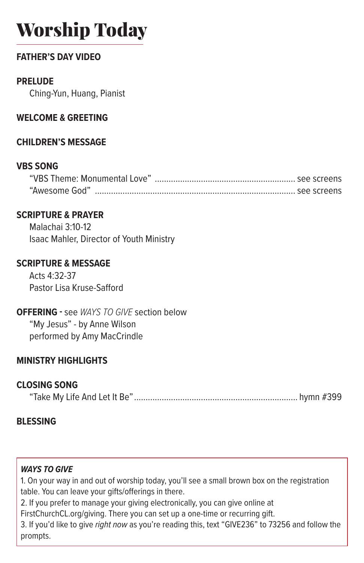## Worship Today

#### **FATHER'S DAY VIDEO**

#### **PRELUDE**

Ching-Yun, Huang, Pianist

#### **WELCOME & GREETING**

#### **CHILDREN'S MESSAGE**

#### **VBS SONG**

#### **SCRIPTURE & PRAYER**

Malachai 3:10-12 Isaac Mahler, Director of Youth Ministry

#### **SCRIPTURE & MESSAGE**

Acts 4:32-37 Pastor Lisa Kruse-Safford

#### **OFFERING -** see *WAYS TO GIVE* section below

"My Jesus" - by Anne Wilson performed by Amy MacCrindle

#### **MINISTRY HIGHLIGHTS**

#### **CLOSING SONG**

"Take My Life And Let It Be"....................................................................... hymn #399

#### **BLESSING**

#### *WAYS TO GIVE*

1. On your way in and out of worship today, you'll see a small brown box on the registration table. You can leave your gifts/offerings in there.

2. If you prefer to manage your giving electronically, you can give online at

FirstChurchCL.org/giving. There you can set up a one-time or recurring gift.

3. If you'd like to give *right now* as you're reading this, text "GIVE236" to 73256 and follow the prompts.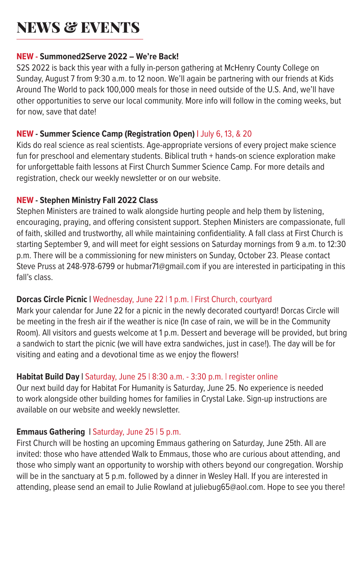### **NEWS & EVENTS**

#### **NEW - Summoned2Serve 2022 – We're Back!**

S2S 2022 is back this year with a fully in-person gathering at McHenry County College on Sunday, August 7 from 9:30 a.m. to 12 noon. We'll again be partnering with our friends at Kids Around The World to pack 100,000 meals for those in need outside of the U.S. And, we'll have other opportunities to serve our local community. More info will follow in the coming weeks, but for now, save that date!

#### **NEW - Summer Science Camp (Registration Open) |** July 6, 13, & 20

Kids do real science as real scientists. Age-appropriate versions of every project make science fun for preschool and elementary students. Biblical truth + hands-on science exploration make for unforgettable faith lessons at First Church Summer Science Camp. For more details and registration, check our weekly newsletter or on our website.

#### **NEW - Stephen Ministry Fall 2022 Class**

Stephen Ministers are trained to walk alongside hurting people and help them by listening, encouraging, praying, and offering consistent support. Stephen Ministers are compassionate, full of faith, skilled and trustworthy, all while maintaining confidentiality. A fall class at First Church is starting September 9, and will meet for eight sessions on Saturday mornings from 9 a.m. to 12:30 p.m. There will be a commissioning for new ministers on Sunday, October 23. Please contact Steve Pruss at 248-978-6799 or hubmar71@gmail.com if you are interested in participating in this fall's class.

#### **Dorcas Circle Picnic |** Wednesday, June 22 | 1 p.m. | First Church, courtyard

Mark your calendar for June 22 for a picnic in the newly decorated courtyard! Dorcas Circle will be meeting in the fresh air if the weather is nice (In case of rain, we will be in the Community Room). All visitors and guests welcome at 1 p.m. Dessert and beverage will be provided, but bring a sandwich to start the picnic (we will have extra sandwiches, just in case!). The day will be for visiting and eating and a devotional time as we enjoy the flowers!

#### **Habitat Build Day |** Saturday, June 25 | 8:30 a.m. - 3:30 p.m. | register online

Our next build day for Habitat For Humanity is Saturday, June 25. No experience is needed to work alongside other building homes for families in Crystal Lake. Sign-up instructions are available on our website and weekly newsletter.

#### **Emmaus Gathering | Saturday, June 25 | 5 p.m.**

First Church will be hosting an upcoming Emmaus gathering on Saturday, June 25th. All are invited: those who have attended Walk to Emmaus, those who are curious about attending, and those who simply want an opportunity to worship with others beyond our congregation. Worship will be in the sanctuary at 5 p.m. followed by a dinner in Wesley Hall. If you are interested in attending, please send an email to Julie Rowland at juliebug65@aol.com. Hope to see you there!